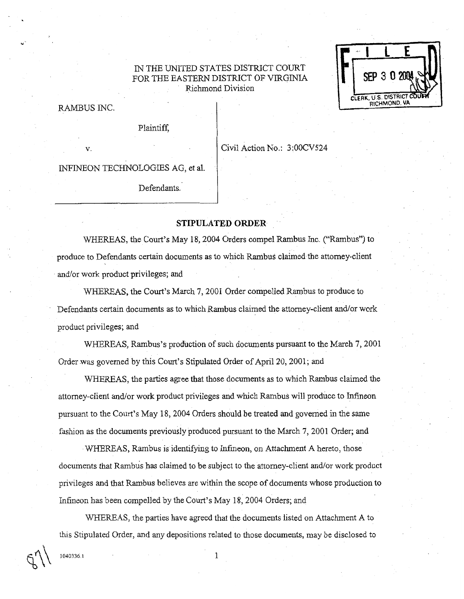## IN THE UNITED STATES DISTRICT COURT FOR THE EASTERN DISTRICT OF VIRGINIA Richmond Division



RAMBUS INC.

Plaintiff,

v.

Civil Action No.: 3:00CV524

INFINEON TECHNOLOGIES AG, et al.

Defendants.

## **STIPULATED ORDER**

WHEREAS, the Court's May 18, 2004 Orders compel Rambus Inc. ("Rambus") to produce to Defendants certain documents as to which Rambus claimed the attorney-client and/or work product privileges; and

WHEEAS, the Court's March 7,2001 Order compelled Rambus to produce to Defendants certain documents as to which Rambus claimed the attorney-client and/or work product privileges; and

WHEREAS, Rambus's production of such documents pursuant to the March 7,2001 Order .was governed by this Court's Stipulated Order of **April** 20,2001; and

WHEREAS, the parties agree that those documents as to which Rambus claimed the attorney-client andlor work product privileges and which Rarnbus will produce to Infineon pursuant to the Court's May 18,2004 Orders should be treated and governed in the same fashion as the documents previously produced pursuant to the March 7,2001 Order; and

WHEREAS, Rambus is identifying to Infineon, on Attachment A hereto, those documents that Rambus has claimed to be subject to the attorney-client and/or work product privileges and that Rambus believes are within the scope of documents whose production to Infineon has been compelled by the Court's May 18,2004 Orders; and

WHEREAS, the parties have agreed that the documents listed on Attachment A to ths Stipulated Order, and any depositions related to those documents, may be disclosed to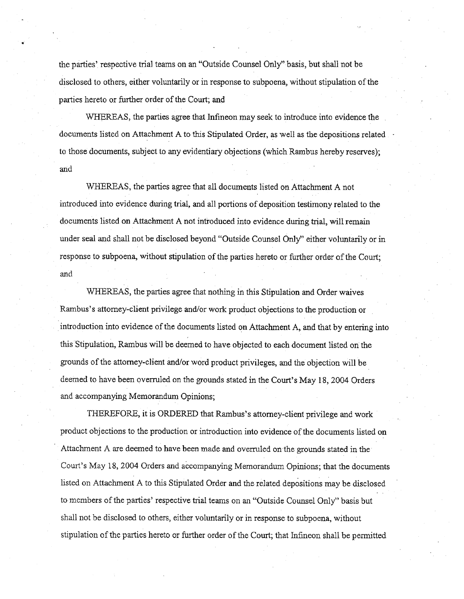the parties' respective trial teams on an "Outside Counsel Only" basis, but shall not be disclosed to others, either voluntarily or in response to subpoena, without stipulation of the parties hereto or further order of the Court; and

WHEREAS, the parties agree that Infineon may seek to introduce into evidence the documents listed on Attachment A to this Stipulated Order, as well as the depositions related to those documents, subject to any eyidentiary objections (which Rambus hereby reserves); and

WHEREAS, the parties agree that all documents listed on Attachment A not introduced into evidence during trial, and all portions of deposition testimony related to the documents listed on Attachment **A** not introduced into evidence during trial, will remain under seal and shall not be disclosed beyond "Outside Counsel Only" either voluntarily or in response to subpoena, without stipulation of the parties hereto or further order of the Court; and

WHEREAS, the parties agree that nothing in this Stipulation and Order waives Rambus's attorney-client privilege and/or work product objections to the production or introduction into evidence of the documents listed on Attachment A, and that by entering into this Stipulation, Rambus will be deemed to have objected to each document listed on the grounds of the attorney-client and/or word product privileges, and the objection will be deemed to have been overruled on the grounds stated in the Court's May 18,2004 Orders and accompanying Memorandum Opinions;

THEREFORE, it is ORDERED that Rambus's attorney-client privilege and work product objections to the production or introduction into evidence of the documents listed on Attachment A are deemed to have been made and overruled on the grounds stated in the Court's May 18,2004 Orders and accompanying Memorandum Opinions; that the documents listed on Attachment A to this Stipulated Order and the related depositions may be disclosed to members of the parties' respective trial teams on an "Outside Counsel Only" basis but shall not be disclosed to others, either voluntarily or in response to subpoena, without stipulation of the parties hereto or further order of the Court; that Infineon shall be permitted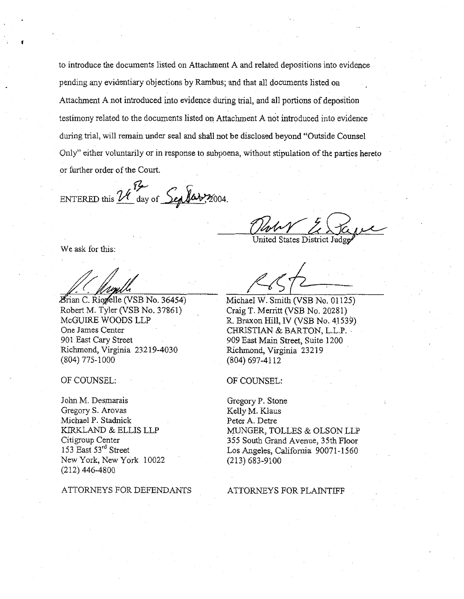to introduce the documents listed on Attachment A and related depositions into evidence pending any evidentiary objections by Rarnbus; and that all documents listed on Attachment A not introduced into evidence during trial, and all portions of deposition testimony related to the documents listed on Attachment A not introduced into evidence during trial, will remain under seal and shall not be disclosed beyond "Outside Counsel Only" either voluntarily or in response to subpoena, without stipulation of the parties hereto or further order of the Court.

ENTERED this  $\mathcal{U}$  day of  $\mathcal{L}_{\text{adv}}$  (day  $\gamma_{2004}$ .

John Z Say United States District  $\text{Judge}$ 

We ask for this:

**formula**<br>Brian C. Riogelle (VSB No. 36454)

Robert M. Tyler (VSB No. 37861) McGUIRE WOODS LLP One James Center 901 East Cary Street Richmond, Virginia 232 19-4030 (804) 775-1000

OF COUNSEL:

John M. Desmarais Gregory S. Arovas Michael P. Stadnick KIRKLAND & ELLIS LLP Citigroup Center 153 East 53rd Street New York, New York 10022 (2 12) 446-48 00

ATTORNEYS FOR DEFENDANTS

Michael W. Smith (VSB No. 01125) Craig T. Merritt (VSB No. 20281) R. Braxon Hill, IV (VSB No. 41539) CHRISTIAN & BARTON, L.L.P. 909 East Main Street, Suite 1200 Richmond, Virginia 232 19 (804) 697-41 12

OF COUNSEL:

Gregory P. Stone Kelly M. Klaus Peter A. Detre MUNGER, TOLLES & OLSON LLP 355 South Grand Avenue, 35th Floor Los Angeles, California 90071-1560 (213) 683-9100

## ATTORNEYS FOR PLAINTIFF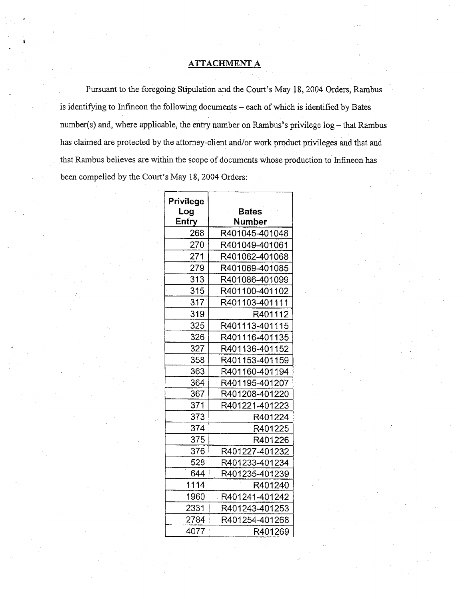## **ATTACHMENT A**

Pursuant to the foregoing Stipulation and the Court's May 18,2004 Orders, Rambus is identifying to Infineon the following documents - each of which is identified by Bates number( $s$ ) and, where applicable, the entry number on Rambus's privilege  $log -$  that Rambus has claimed are protected by the attorney-client and/or work product privileges and that and that Rambus believes are within the scope of documents whose production to Infineon has been compelled by the Court's May 18,2004 Orders:

| Privilege<br>Log | Bates            |
|------------------|------------------|
| Entry            | Number           |
| 268              | R401045-401048   |
| 270              | R401049-401061   |
| 271              | R401062-401068   |
| 279              | R401069-401085   |
| 313              | R401086-401099   |
| 315              | R401100-401102   |
| 317              | R401103-401111   |
| 319              | R401112          |
| 325              | R401113-401115   |
| 326              | R401116-401135   |
| 327              | R401136-401152   |
| 358              | R401153-401159   |
| 363              | R401160-401194   |
| 364              | R401195-401207   |
| 367              | R401208-401220   |
| 371              | R401221-401223   |
| 373              | R401224          |
| 374              | R401225          |
| 375              | R401226          |
| 376              | R401227-401232   |
| 528              | R401233-401234   |
| 644              | R401235-401239   |
| 1114             | R401240          |
| 1960             | R401241-401242 . |
| 2331             | R401243-401253   |
| 2784             | R401254-401268   |
| 4077             | R401269          |